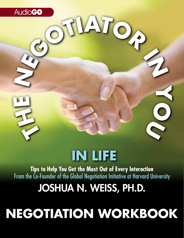

**TH**

**E**

# **IN LIFE**

**YOU**

**N<sup>E</sup>GOTIATO<sup>R</sup> <sup>I</sup><sup>N</sup>**

**Tips to Help You Get the Most Out of Every Interaction** From the Co-Founder of the Global Negotiation Initiative at Harvard University

## JOSHUA N. WEISS, PH.D.

# **NEGOTIATION WORKBO**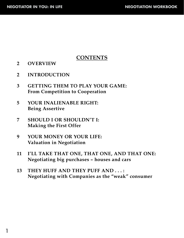## **CONTENTS**

- **2 Overview**
- **2 INTRODUCTION**
- **3 Getting them to Play your game: From Competition to Cooperation**
- **5 Your inalienable right: Being Assertive**
- **7 Should I or shouldn't I: Making the First Offer**
- **9 Your money or your life: Valuation in Negotiation**
- **11 I'll take that one, that one, and that one: Negotiating big purchases – houses and cars**
- **13 TheY huff and they puff and . . . : Negotiating with Companies as the "weak" consumer**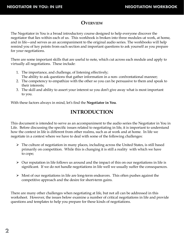#### **Overview**

The Negotiator in You is a broad introductory course designed to help everyone discover the negotiator that lies within each of us. This workbook is broken into three modules–at work, at home, and in life—and serves as an accompaniment to the original audio series. The workbooks will help remind you of key points from each section and important questions to ask yourself as you prepare for your negotiations.

There are some important skills that are useful to note, which cut across each module and apply to virtually all negotiations. These include:

- 1. The importance, and challenge, of listening effectively; The ability to ask questions that gather information in a non- confrontational manner;
- 2. The competency to empathize with the other so you can be persuasive to them and speak to their interests;
- 3. The skill and ability to assert your interest so you don't give away what is most important to you.

With these factors always in mind, let's find the **Negotiator in You**.

## **INTRODUCTION**

This document is intended to serve as an accompaniment to the audio series the Negotiator in You in Life. Before discussing the specific issues related to negotiating in life, it is important to understand how the context in life is different from other realms, such as at work and at home. In life we negotiate in a context where we have to deal with some of the following challenges:

- $\triangleright$  The culture of negotiation in many places, including across the United States, is still based primarily on competition. While this is changing it is still a reality with which we have to cope;
- $\triangleright$  Our reputation in life follows us around and the impact of this on our negotiations in life is significant. If we do not handle negotiations in life well we usually suffer the consequences.
- $\triangleright$  Most of our negotiations in life are long-term endeavors. This often pushes against the competitive approach and the desire for short-term gains.

There are many other challenges when negotiating at life, but not all can be addressed in this worksheet. However, the issues below examine a number of critical negotiations in life and provide questions and templates to help you prepare for these kinds of negotiations.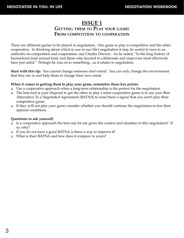### **Getting them to Play your game: From competition to cooperation**

There are different games to be played in negotiation. One game to play is competitive and the other cooperative. In thinking about which to use in our life's negotiation it may be useful to turn to an authority on competition and cooperation, one Charles Darwin. As he stated, "In the long history of humankind (and animal kind, too) those who learned to collaborate and improvise most effectively have prevailed." Perhaps he was on to something...as it relates to negotiation.

**Start with this tip:** You cannot change someone else's mind. You can only change the environment that they are in and help them to change their own mind.

#### **When it comes to getting them to play your game, remember these key points:**

- **Use a cooperative approach when a long-term relationship is the pretext for the negotiation.**
- The best tool at your disposal to get the other to play a more cooperative game is to use your Best Alternative To a Negotiated Agreement (BATNA) to send them a signal that you won't play their competitive game.
- If they will not play your game consider whether you should continue the negotiation in less than optimal conditions.

- Is a cooperative approach the best one for me given the context and situation in this negotiation? If so, why?
- If you do not have a good BATNA is there a way to improve it?
- What is their BATNA and how does it compare to yours?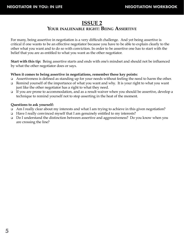#### **Your inalienable right: Being Assertive**

For many, being assertive in negotiation is a very difficult challenge. And yet being assertive is critical if one wants to be an effective negotiator because you have to be able to explain clearly to the other what you want and to do so with conviction. In order to be assertive one has to start with the belief that you are as entitled to what you want as the other negotiator.

**Start with this tip:** Being assertive starts and ends with one's mindset and should not be influenced by what the other negotiator does or says.

#### **When it comes to being assertive in negotiations, remember these key points:**

- Assertiveness is defined as standing up for your needs without feeling the need to harm the other.
- Remind yourself of the importance of what you want and why. It is your right to what you want just like the other negotiator has a right to what they need.
- If you are prone to accommodation, and as a result waiver when you should be assertive, develop a technique to remind yourself not to stop asserting in the heat of the moment.

- □ Am I really clear about my interests and what I am trying to achieve in this given negotiation?
- Have I really convinced myself that I am genuinely entitled to my interests?
- Do I understand the distinction between assertive and aggressiveness? Do you know when you are crossing the line?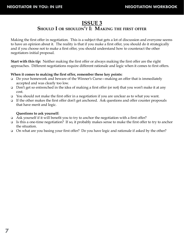## **Should I or shouldn't I: Making the first offer**

Making the first offer in negotiation. This is a subject that gets a lot of discussion and everyone seems to have an opinion about it. The reality is that if you make a first offer, you should do it strategically and if you choose not to make a first offer, you should understand how to counteract the other negotiators initial proposal.

**Start with this tip:** Neither making the first offer or always making the first offer are the right approaches. Different negotiations require different rationale and logic when it comes to first offers.

#### **When it comes to making the first offer, remember these key points:**

- Do your homework and beware of the Winner's Curse—making an offer that is immediately accepted and was clearly too low.
- Don't get so entrenched in the idea of making a first offer (or not) that you won't make it at any cost.
- You should not make the first offer in a negotiation if you are unclear as to what you want.
- If the other makes the first offer don't get anchored. Ask questions and offer counter proposals that have merit and logic.

- Ask yourself if it will benefit you to try to anchor the negotiation with a first offer?
- Is this a one-time negotiation? If so, it probably makes sense to make the first offer to try to anchor the situation.
- On what are you basing your first offer? Do you have logic and rationale if asked by the other?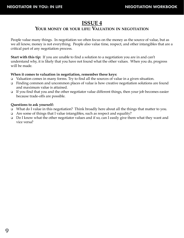## **Your money or your life: Valuation in negotiation**

People value many things. In negotiation we often focus on the money as the source of value, but as we all know, money is not everything. People also value time, respect, and other intangibles that are a critical part of any negotiation process.

**Start with this tip:** If you are unable to find a solution to a negotiation you are in and can't understand why, it is likely that you have not found what the other values. When you do, progress will be made.

#### **When it comes to valuation in negotiation, remember these keys:**

- Valuation comes in many forms. Try to find all the sources of value in a given situation.
- Finding common and uncommon places of value is how creative negotiation solutions are found and maximum value is attained.
- If you find that you and the other negotiator value different things, then your job becomes easier because trade-offs are possible.

- What do I value in this negotiation? Think broadly here about all the things that matter to you.
- Are some of things that I value intangibles, such as respect and equality?
- Do I know what the other negotiator values and if so, can I easily give them what they want and vice versa?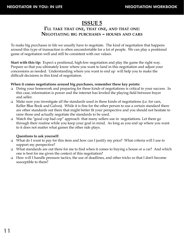#### **I'll take that one, that one, and that one: Negotiating big purchases – houses and cars**

To make big purchases in life we usually have to negotiate. The kind of negotiation that happens around this type of transaction is often uncomfortable for a lot of people. We can play a positional game of negotiation well and still be consistent with our values.

**Start with this tip:** Expect a positional, high-low negotiation and play the game the right way. Prepare so that you ultimately know where you want to land in this negotiation and adjust your concessions as needed. Understanding where you want to end up will help you to make the difficult decisions in this kind of negotiation.

#### **When it comes negotiations around big purchases, remember these key points:**

- Doing your homework and preparing for these kinds of negotiations is critical to your success. In this case, information is power and the internet has leveled the playing field between buyer and seller.
- Make sure you investigate all the standards used in these kinds of negotiations (i.e. for cars, Keller Blue Book and Galves). While it is fine for the other person to use a certain standard there are other standards out there that might better fit your perspective and you should not hesitate to raise those and actually negotiate the standards to be used.
- Watch the "good cop bad cop" approach that many sellers use in negotiations. Let them go through their routine while you keep your goal in mind. As long as you end up where you want to it does not matter what games the other side plays.

- What do I want to pay for this item and how can I justify my price? What criteria will I use to support my perspective?
- What standards are out there for me to find when it comes to buying a house or a car? And which one is best for me given the context of this negotiation?
- How will I handle pressure tactics, the use of deadlines, and other tricks so that I don't become susceptible to them?